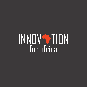# INNOVSTION for africa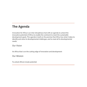# **The Agenda**

Innovation for Africa is an inter-disciplinary hub with an agenda to unlock the innovative potential of Africa to enable the continent to meet the sustainable development goals. This agenda is built on the premise that Africa has what it takes to identify and solve its developmental challenges, and to meet all its developmental needs.

Our Vision

An Africa that is on the cutting edge of innovation and development

Our Mission

To unlock Africa's innate potential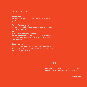#### We are committed to

#### **Innovation**

We birth and implement new ideas, create dynamic products, and improve existing services

#### **Taking Responsibility**

We are accountable for development issues within our sphere of influence

#### **Partnership and Collaboration**

We are committed to building cooperative arrangements with relevant stakeholders to work jointly towards a common goal

#### **Sustainability**

We develop individual, community and institutional capacity to continue activities over an extended period of time while minimising financial risk

## **,,**

Our children may learn about heroes of the past. Our job is to make ourselves architects of the future.

Jomo Kenyatta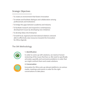## Strategic Objectives

- To create an environment that fosters Innovation
- To initiate and facilitate dialogue and collaboration among professionals and institutions
- To bridge the gaps between academia and industry
- To facilitate research and respond to contemporary development issues by developing new initiatives
- To develop Ideas into Enterprise
- To build local, regional and international relations network able to effectively raise resources towards the Innovation for Africa Agenda

## The I4A Methodology



#### 1. Identification

In order to come up with solutions, we need an honest reckoning of the issues that face us. We need to specifically articulate, quantify and summarise problems in order that we might confront them and create solutions.



#### **2. Conversation**

Innovation for Africa sets up relevant platforms via various media, meetings and events in order for the right conversations to take place.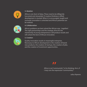

#### **3. Ideation**

Africa is not short of ideas. These need to be dilligently harvested and stewarded. If creative thinking is stifled, development is stunted. When it is encouraged, taught and nurtured, innovation is unlocked and Africa's potential can be realised.



#### **4. Collaboration**

Africa's problems are best solved the African way - together! The right partnerships and the strategic drive for the mentorship of young entrepreneurs will produce results and will unlock the best of African innovation.



#### **5. Creation**

Quality innovation results in meaningful enterprise. Necessary to Africa's development is the creation of brand new products, the creation of startups, the creation of jobs, and the creation of investment opportunities.

# **,,**

Africa is not "communistic" in his thinking. He is, if I may coin the expression "communitary"

Julius Nyerere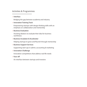### Activities & Programmes

#### **• Interface**

Bridging the gap between academia and industry

#### **• Innovation Training Track**

Empowering startups with design thinking skills with an

. emphasis on collaboration and mentorship

#### **• Business Evaluation**

Assisting ideators to evaluate their idea for business

. worthiness

#### **• Business Incubator & Accelerator**

Helping startups to grow and flourish through mentorship

#### **• Business Support Services**

Supporting start-ups in admin, accounting & marketing

#### **• Innovation Challenge**

Innovation competitions that address real life needs

#### **• Face-o**

An interface between startups and investors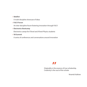#### **• Ideafest**

A multi-discipline showcase of ideas

**• R & D Forum**

An inter-discipline forum fostering innovation through R & D

**• Electronics Bootcamp**

Electronics camps for O'level and A'level Physics students

**• V8 Summit**

A series of conferences and conversations around innovation

## **,,**

Originality is the essence of true scholarship. Creativity is the soul of the scholar

Nnamdi Azikiwe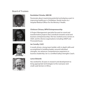### Board of Trustees









#### **Rumbidzai Chineka, MBCHB**

Passionate about maximising potential and playing a part in improving healthcare in Zimbabwe. Rumbi works as a Hospital Medical Officer for the Ministry f Health.

#### **Chishuvo Chivasa, MPhil Entrepreneurship**

A Project Management specialist focused on novel and transformative projects that contribute towards social and business entrepreneurship. She has worked across sectors in SADC and for diverse organisations including UNDP and Pricewaterhouse.

#### **Ian Conolly, CA(Z)**

A results driven, strong team builder with in depth skills and accomplished in building leaders around individual strengths. Ian advances comprehensive experience in business leadership. Ian is a certified Gallup Strengths Coach.

#### **Lance Edwards**

Has worked for 20 years in research and development to bring appropriate technologies to the rural poor and small-scale farmers in Africa.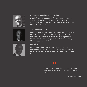





#### **Ndabezinhle Masuku, AIPA (Australia)**

A multi-faceted accounting professional transitioning into strategy and futures studies. Blue-chip, public sector, NPO, and social enterprise leadership experience. US Department of State IVLP alumnus.

#### **Joyce Mutangara, LLB**

More than ten years managerial experience in multiple areas of legal and administration. Her current passion is coaching individuals to help them attain success in being the best they can be. She is multilingual and has lived in Tanzania, Mozambique and Zimbabwe

#### **Mpi Ndebele**

An innovative thinker passionate about strategy and developing people. Enjoys discovering passion and energy in people and helping them develop corporate identity and culture

# **,,**

Revolutions are brought about by men, by men who think as men of action and act as men of throught.

Kwame Nkrumah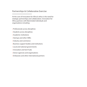## Partnerships & Collaborative Exercise

At the core of Innovation for Africa's ethos is the need for strategic partnerships and collaboration. Innovation for Africa partners with likeminded individuals and organisations including:

- **•** Professionals across disciplines
- **•** Students across disciplines
- **•** Academic institutions
- **•** Startups and other SMEs
- **•** Industry and commerce
- **•** Business support bodies and institutions
- **•** Local and national governments
- **•** Innovation and tech hubs
- **•** Donor agencies and organisations
- **•** Embassies and other international partners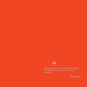## **,,**

The only man I envy is the man who has not yet been to Africa - for he has so much to look forward to.

Richard Mullin